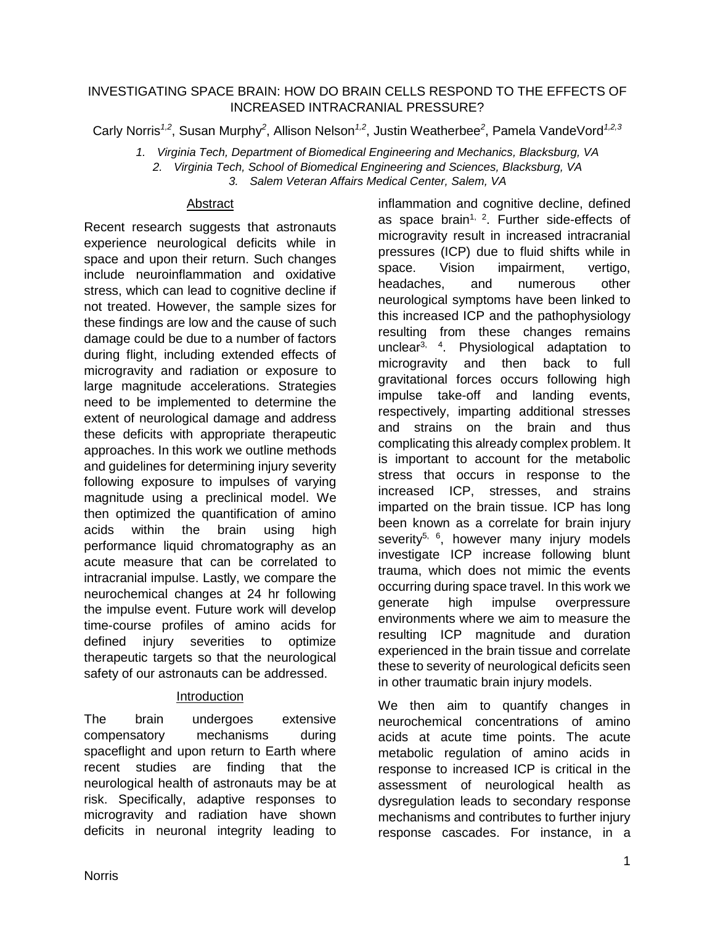### INVESTIGATING SPACE BRAIN: HOW DO BRAIN CELLS RESPOND TO THE EFFECTS OF INCREASED INTRACRANIAL PRESSURE?

Carly Norris<sup>1,2</sup>, Susan Murphy<sup>2</sup>, Allison Nelson<sup>1,2</sup>, Justin Weatherbee<sup>2</sup>, Pamela VandeVord<sup>1,2,3</sup>

*1. Virginia Tech, Department of Biomedical Engineering and Mechanics, Blacksburg, VA 2. Virginia Tech, School of Biomedical Engineering and Sciences, Blacksburg, VA 3. Salem Veteran Affairs Medical Center, Salem, VA*

#### Abstract

Recent research suggests that astronauts experience neurological deficits while in space and upon their return. Such changes include neuroinflammation and oxidative stress, which can lead to cognitive decline if not treated. However, the sample sizes for these findings are low and the cause of such damage could be due to a number of factors during flight, including extended effects of microgravity and radiation or exposure to large magnitude accelerations. Strategies need to be implemented to determine the extent of neurological damage and address these deficits with appropriate therapeutic approaches. In this work we outline methods and guidelines for determining injury severity following exposure to impulses of varying magnitude using a preclinical model. We then optimized the quantification of amino acids within the brain using high performance liquid chromatography as an acute measure that can be correlated to intracranial impulse. Lastly, we compare the neurochemical changes at 24 hr following the impulse event. Future work will develop time-course profiles of amino acids for defined injury severities to optimize therapeutic targets so that the neurological safety of our astronauts can be addressed.

### Introduction

The brain undergoes extensive compensatory mechanisms during spaceflight and upon return to Earth where recent studies are finding that the neurological health of astronauts may be at risk. Specifically, adaptive responses to microgravity and radiation have shown deficits in neuronal integrity leading to inflammation and cognitive decline, defined as space brain<sup>1, 2</sup>. Further side-effects of microgravity result in increased intracranial pressures (ICP) due to fluid shifts while in space. Vision impairment. vertigo, headaches, and numerous other neurological symptoms have been linked to this increased ICP and the pathophysiology resulting from these changes remains unclear<sup>3, 4</sup>. Physiological adaptation to microgravity and then back to full gravitational forces occurs following high impulse take-off and landing events, respectively, imparting additional stresses and strains on the brain and thus complicating this already complex problem. It is important to account for the metabolic stress that occurs in response to the increased ICP, stresses, and strains imparted on the brain tissue. ICP has long been known as a correlate for brain injury severity<sup>5, 6</sup>, however many injury models investigate ICP increase following blunt trauma, which does not mimic the events occurring during space travel. In this work we generate high impulse overpressure environments where we aim to measure the resulting ICP magnitude and duration experienced in the brain tissue and correlate these to severity of neurological deficits seen in other traumatic brain injury models.

We then aim to quantify changes in neurochemical concentrations of amino acids at acute time points. The acute metabolic regulation of amino acids in response to increased ICP is critical in the assessment of neurological health as dysregulation leads to secondary response mechanisms and contributes to further injury response cascades. For instance, in a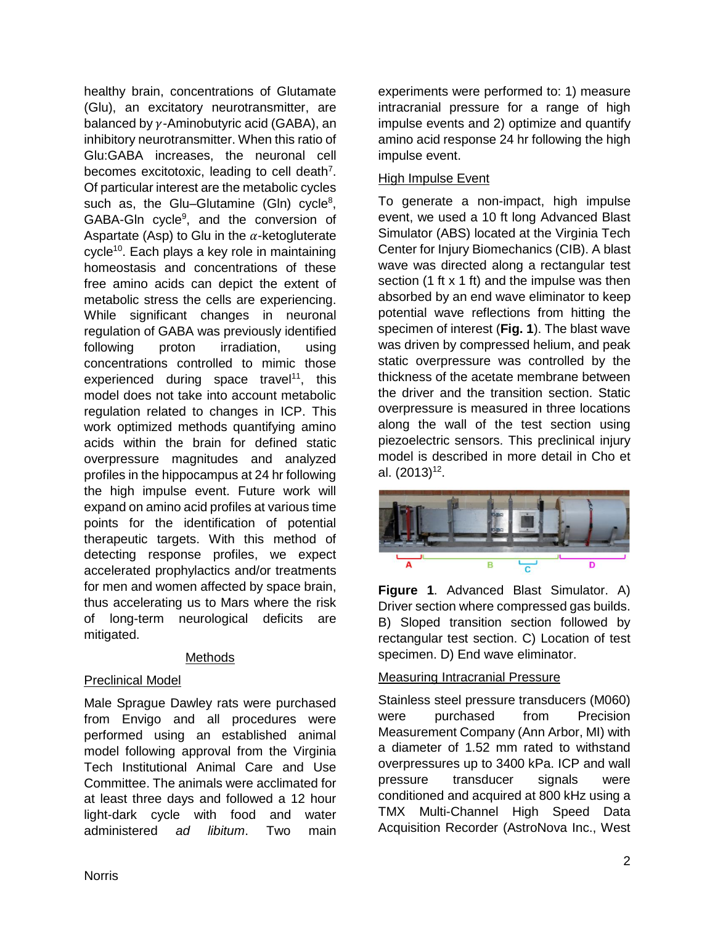healthy brain, concentrations of Glutamate (Glu), an excitatory neurotransmitter, are balanced by  $\nu$ -Aminobutyric acid (GABA), an inhibitory neurotransmitter. When this ratio of Glu:GABA increases, the neuronal cell becomes excitotoxic, leading to cell death<sup>7</sup>. Of particular interest are the metabolic cycles such as, the Glu-Glutamine (Gln) cycle<sup>8</sup>, GABA-GIn cycle<sup>9</sup>, and the conversion of Aspartate (Asp) to Glu in the  $\alpha$ -ketogluterate cycle<sup>10</sup>. Each plays a key role in maintaining homeostasis and concentrations of these free amino acids can depict the extent of metabolic stress the cells are experiencing. While significant changes in neuronal regulation of GABA was previously identified following proton irradiation, using concentrations controlled to mimic those experienced during space travel<sup>11</sup>, this model does not take into account metabolic regulation related to changes in ICP. This work optimized methods quantifying amino acids within the brain for defined static overpressure magnitudes and analyzed profiles in the hippocampus at 24 hr following the high impulse event. Future work will expand on amino acid profiles at various time points for the identification of potential therapeutic targets. With this method of detecting response profiles, we expect accelerated prophylactics and/or treatments for men and women affected by space brain, thus accelerating us to Mars where the risk of long-term neurological deficits are mitigated.

### Methods

### Preclinical Model

Male Sprague Dawley rats were purchased from Envigo and all procedures were performed using an established animal model following approval from the Virginia Tech Institutional Animal Care and Use Committee. The animals were acclimated for at least three days and followed a 12 hour light-dark cycle with food and water administered *ad libitum*. Two main

experiments were performed to: 1) measure intracranial pressure for a range of high impulse events and 2) optimize and quantify amino acid response 24 hr following the high impulse event.

### **High Impulse Event**

To generate a non-impact, high impulse event, we used a 10 ft long Advanced Blast Simulator (ABS) located at the Virginia Tech Center for Injury Biomechanics (CIB). A blast wave was directed along a rectangular test section (1 ft x 1 ft) and the impulse was then absorbed by an end wave eliminator to keep potential wave reflections from hitting the specimen of interest (**Fig. 1**). The blast wave was driven by compressed helium, and peak static overpressure was controlled by the thickness of the acetate membrane between the driver and the transition section. Static overpressure is measured in three locations along the wall of the test section using piezoelectric sensors. This preclinical injury model is described in more detail in Cho et al. (2013) 12 .



**Figure 1**. Advanced Blast Simulator. A) Driver section where compressed gas builds. B) Sloped transition section followed by rectangular test section. C) Location of test specimen. D) End wave eliminator.

# Measuring Intracranial Pressure

Stainless steel pressure transducers (M060) were purchased from Precision Measurement Company (Ann Arbor, MI) with a diameter of 1.52 mm rated to withstand overpressures up to 3400 kPa. ICP and wall pressure transducer signals were conditioned and acquired at 800 kHz using a TMX Multi-Channel High Speed Data Acquisition Recorder (AstroNova Inc., West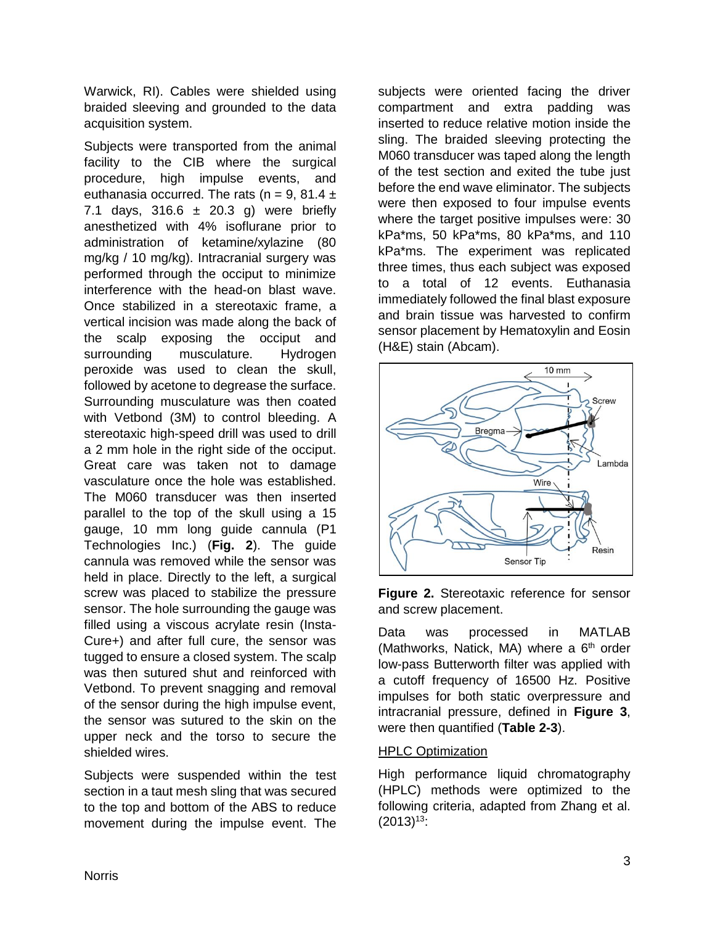Warwick, RI). Cables were shielded using braided sleeving and grounded to the data acquisition system.

Subjects were transported from the animal facility to the CIB where the surgical procedure, high impulse events, and euthanasia occurred. The rats  $(n = 9, 81.4 \pm \frac{1}{2})$ 7.1 days,  $316.6 \pm 20.3$  g) were briefly anesthetized with 4% isoflurane prior to administration of ketamine/xylazine (80 mg/kg / 10 mg/kg). Intracranial surgery was performed through the occiput to minimize interference with the head-on blast wave. Once stabilized in a stereotaxic frame, a vertical incision was made along the back of the scalp exposing the occiput and surrounding musculature. Hydrogen peroxide was used to clean the skull, followed by acetone to degrease the surface. Surrounding musculature was then coated with Vetbond (3M) to control bleeding. A stereotaxic high-speed drill was used to drill a 2 mm hole in the right side of the occiput. Great care was taken not to damage vasculature once the hole was established. The M060 transducer was then inserted parallel to the top of the skull using a 15 gauge, 10 mm long guide cannula (P1 Technologies Inc.) (**Fig. 2**). The guide cannula was removed while the sensor was held in place. Directly to the left, a surgical screw was placed to stabilize the pressure sensor. The hole surrounding the gauge was filled using a viscous acrylate resin (Insta-Cure+) and after full cure, the sensor was tugged to ensure a closed system. The scalp was then sutured shut and reinforced with Vetbond. To prevent snagging and removal of the sensor during the high impulse event, the sensor was sutured to the skin on the upper neck and the torso to secure the shielded wires.

Subjects were suspended within the test section in a taut mesh sling that was secured to the top and bottom of the ABS to reduce movement during the impulse event. The subjects were oriented facing the driver compartment and extra padding was inserted to reduce relative motion inside the sling. The braided sleeving protecting the M060 transducer was taped along the length of the test section and exited the tube just before the end wave eliminator. The subjects were then exposed to four impulse events where the target positive impulses were: 30 kPa\*ms, 50 kPa\*ms, 80 kPa\*ms, and 110 kPa\*ms. The experiment was replicated three times, thus each subject was exposed to a total of 12 events. Euthanasia immediately followed the final blast exposure and brain tissue was harvested to confirm sensor placement by Hematoxylin and Eosin (H&E) stain (Abcam).



**Figure 2.** Stereotaxic reference for sensor and screw placement.

Data was processed in MATLAB (Mathworks, Natick, MA) where a  $6<sup>th</sup>$  order low-pass Butterworth filter was applied with a cutoff frequency of 16500 Hz. Positive impulses for both static overpressure and intracranial pressure, defined in **Figure 3**, were then quantified (**Table 2-3**).

### HPLC Optimization

High performance liquid chromatography (HPLC) methods were optimized to the following criteria, adapted from Zhang et al.  $(2013)^{13}$ :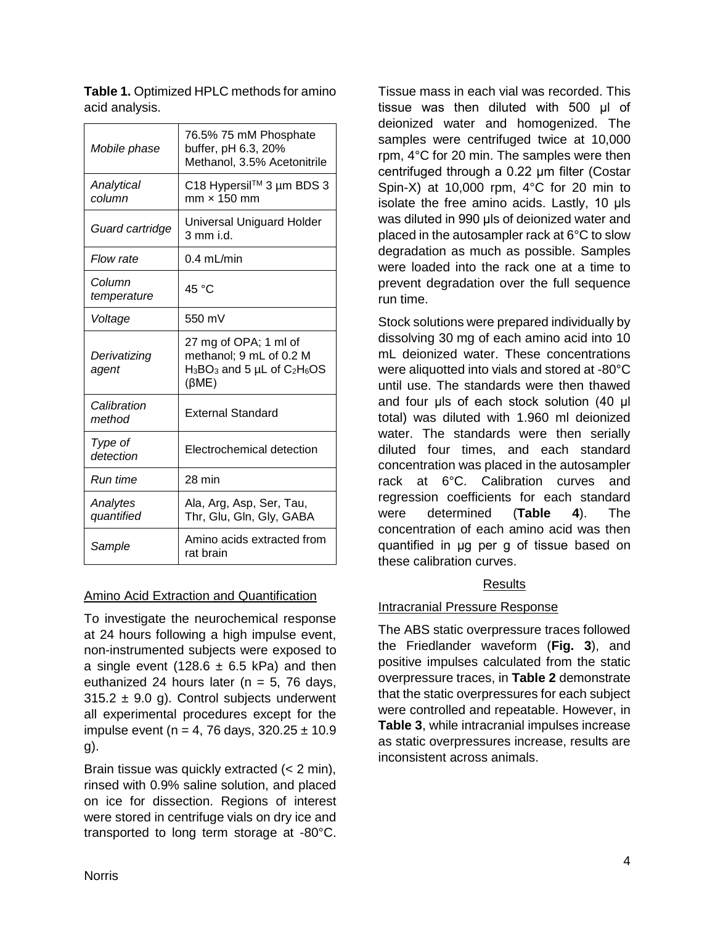| Mobile phase           | 76.5% 75 mM Phosphate<br>buffer, pH 6.3, 20%<br>Methanol, 3.5% Acetonitrile                          |  |
|------------------------|------------------------------------------------------------------------------------------------------|--|
| Analytical<br>column   | C18 Hypersil™ 3 µm BDS 3<br>$mm \times 150$ mm                                                       |  |
| Guard cartridge        | Universal Uniguard Holder<br>3 mm i.d.                                                               |  |
| Flow rate              | $0.4$ mL/min                                                                                         |  |
| Column<br>temperature  | 45 °C                                                                                                |  |
| Voltage                | 550 mV                                                                                               |  |
| Derivatizing<br>agent  | 27 mg of OPA; 1 ml of<br>methanol; 9 mL of 0.2 M<br>$H_3BO_3$ and 5 µL of $C_2H_6OS$<br>$(\beta ME)$ |  |
| Calibration<br>method  | <b>External Standard</b>                                                                             |  |
| Type of<br>detection   | Electrochemical detection                                                                            |  |
| Run time               | 28 min                                                                                               |  |
| Analytes<br>quantified | Ala, Arg, Asp, Ser, Tau,<br>Thr, Glu, Gln, Gly, GABA                                                 |  |
| Sample                 | Amino acids extracted from<br>rat brain                                                              |  |

**Table 1.** Optimized HPLC methods for amino acid analysis.

### Amino Acid Extraction and Quantification

To investigate the neurochemical response at 24 hours following a high impulse event, non-instrumented subjects were exposed to a single event (128.6  $\pm$  6.5 kPa) and then euthanized 24 hours later ( $n = 5$ , 76 days,  $315.2 \pm 9.0$  g). Control subjects underwent all experimental procedures except for the impulse event (n = 4, 76 days,  $320.25 \pm 10.9$ g).

Brain tissue was quickly extracted (< 2 min), rinsed with 0.9% saline solution, and placed on ice for dissection. Regions of interest were stored in centrifuge vials on dry ice and transported to long term storage at -80°C.

Tissue mass in each vial was recorded. This tissue was then diluted with 500 μl of deionized water and homogenized. The samples were centrifuged twice at 10,000 rpm, 4°C for 20 min. The samples were then centrifuged through a 0.22 μm filter (Costar Spin-X) at 10,000 rpm, 4°C for 20 min to isolate the free amino acids. Lastly, 10 μls was diluted in 990 μls of deionized water and placed in the autosampler rack at 6°C to slow degradation as much as possible. Samples were loaded into the rack one at a time to prevent degradation over the full sequence run time.

Stock solutions were prepared individually by dissolving 30 mg of each amino acid into 10 mL deionized water. These concentrations were aliquotted into vials and stored at -80°C until use. The standards were then thawed and four μls of each stock solution (40 μl total) was diluted with 1.960 ml deionized water. The standards were then serially diluted four times, and each standard concentration was placed in the autosampler rack at 6°C. Calibration curves and regression coefficients for each standard were determined (**Table 4**). The concentration of each amino acid was then quantified in μg per g of tissue based on these calibration curves.

# Results

# Intracranial Pressure Response

The ABS static overpressure traces followed the Friedlander waveform (**Fig. 3**), and positive impulses calculated from the static overpressure traces, in **Table 2** demonstrate that the static overpressures for each subject were controlled and repeatable. However, in **Table 3**, while intracranial impulses increase as static overpressures increase, results are inconsistent across animals.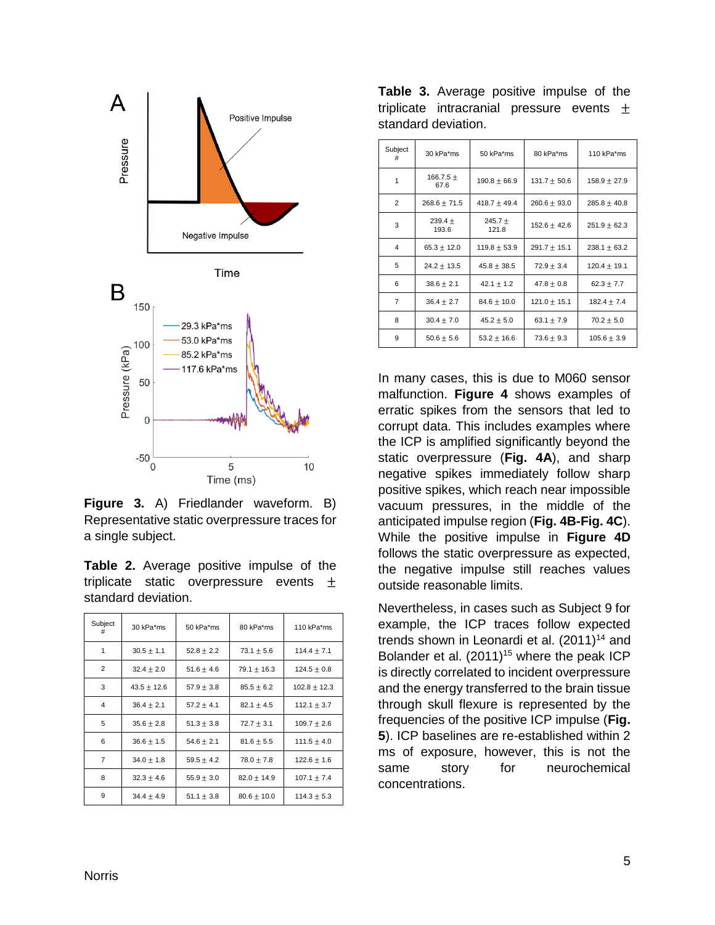

**Figure 3.** A) Friedlander waveform. B) Representative static overpressure traces for a single subject.

| <b>Table 2.</b> Average positive impulse of the |  |  |  |
|-------------------------------------------------|--|--|--|
| triplicate static overpressure events $\pm$     |  |  |  |
| standard deviation.                             |  |  |  |

| Subject | 30 kPa*ms       | 50 kPa*ms      | 80 kPa*ms       | 110 kPa*ms       |
|---------|-----------------|----------------|-----------------|------------------|
| 1       | $30.5 \pm 1.1$  | $52.8 \pm 2.2$ | $73.1 \pm 5.6$  | $114.4 \pm 7.1$  |
| 2       | $32.4 \pm 2.0$  | $51.6 + 4.6$   | $79.1 \pm 16.3$ | $124.5 \pm 0.8$  |
| 3       | $43.5 \pm 12.6$ | $57.9 \pm 3.8$ | $85.5 \pm 6.2$  | $102.8 \pm 12.3$ |
| 4       | $36.4 \pm 2.1$  | $57.2 \pm 4.1$ | $82.1 \pm 4.5$  | $112.1 \pm 3.7$  |
| 5       | $35.6 \pm 2.8$  | $51.3 \pm 3.8$ | $72.7 \pm 3.1$  | $109.7 \pm 2.6$  |
| 6       | $36.6 \pm 1.5$  | $54.6 \pm 2.1$ | $81.6 \pm 5.5$  | $111.5 \pm 4.0$  |
| 7       | $34.0 \pm 1.8$  | $59.5 \pm 4.2$ | $78.0 \pm 7.8$  | $122.6 \pm 1.6$  |
| 8       | $32.3 \pm 4.6$  | $55.9 \pm 3.0$ | $82.0 \pm 14.9$ | $107.1 \pm 7.4$  |
| 9       | $34.4 + 4.9$    | $51.1 \pm 3.8$ | $80.6 \pm 10.0$ | $114.3 \pm 5.3$  |

**Table 3.** Average positive impulse of the triplicate intracranial pressure events  $\pm$ standard deviation.

| Subject<br># | 30 kPa*ms             | 50 kPa*ms            | 80 kPa*ms        | 110 kPa*ms       |
|--------------|-----------------------|----------------------|------------------|------------------|
| 1            | 166.7.5 $\pm$<br>67.6 | $190.8 \pm 66.9$     | $131.7 \pm 50.6$ | $158.9 \pm 27.9$ |
| 2            | $268.6 \pm 71.5$      | $418.7 \pm 49.4$     | $260.6 \pm 93.0$ | $285.8 \pm 40.8$ |
| 3            | 239.4 $\pm$<br>193.6  | 245.7 $\pm$<br>121.8 | $152.6 \pm 42.6$ | $251.9 \pm 62.3$ |
| 4            | $65.3 \pm 12.0$       | $119.8 \pm 53.9$     | $291.7 \pm 15.1$ | $238.1 \pm 63.2$ |
| 5            | $24.2 \pm 13.5$       | $45.8 \pm 38.5$      | $72.9 \pm 3.4$   | $120.4 \pm 19.1$ |
| 6            | $38.6 \pm 2.1$        | 42.1 $\pm$ 1.2       | $47.8 \pm 0.8$   | $62.3 \pm 7.7$   |
| 7            | $36.4 \pm 2.7$        | $84.6 \pm 10.0$      | $121.0 \pm 15.1$ | $182.4 \pm 7.4$  |
| 8            | $30.4 \pm 7.0$        | $45.2 \pm 5.0$       | 63.1 $\pm$ 7.9   | $70.2 \pm 5.0$   |
| 9            | $50.6 \pm 5.6$        | $53.2 \pm 16.6$      | $73.6 \pm 9.3$   | $105.6 \pm 3.9$  |

In many cases, this is due to M060 sensor malfunction. **Figure 4** shows examples of erratic spikes from the sensors that led to corrupt data. This includes examples where the ICP is amplified significantly beyond the static overpressure (**Fig. 4A**), and sharp negative spikes immediately follow sharp positive spikes, which reach near impossible vacuum pressures, in the middle of the anticipated impulse region (**Fig. 4B-Fig. 4C**). While the positive impulse in **Figure 4D** follows the static overpressure as expected, the negative impulse still reaches values outside reasonable limits.

Nevertheless, in cases such as Subject 9 for example, the ICP traces follow expected trends shown in Leonardi et al.  $(2011)^{14}$  and Bolander et al.  $(2011)^{15}$  where the peak ICP is directly correlated to incident overpressure and the energy transferred to the brain tissue through skull flexure is represented by the frequencies of the positive ICP impulse (**Fig. 5**). ICP baselines are re-established within 2 ms of exposure, however, this is not the same story for neurochemical concentrations.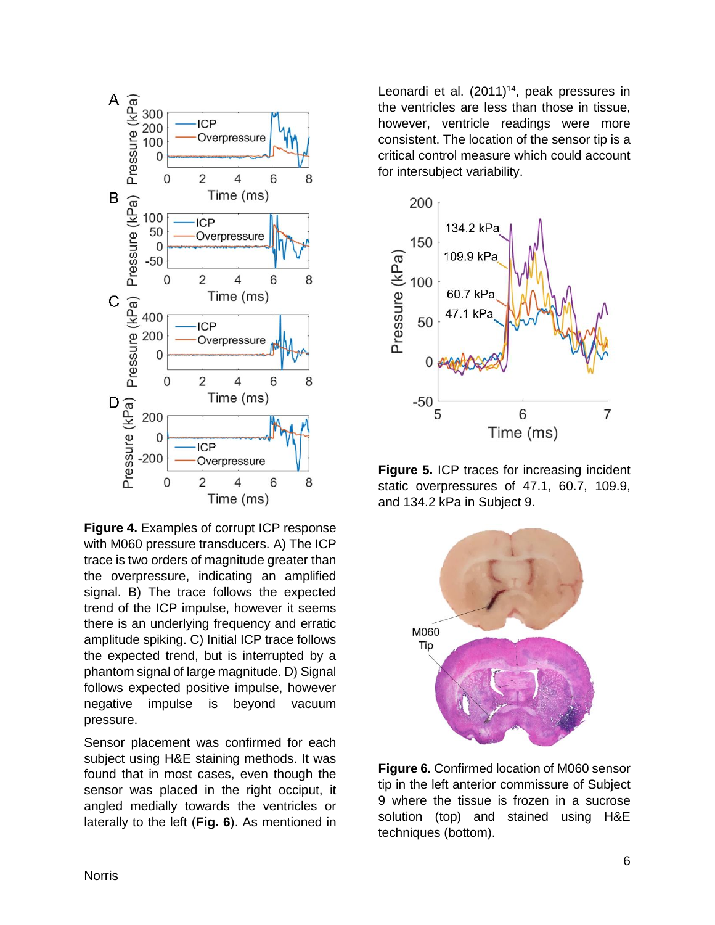

**Figure 4.** Examples of corrupt ICP response with M060 pressure transducers. A) The ICP trace is two orders of magnitude greater than the overpressure, indicating an amplified signal. B) The trace follows the expected trend of the ICP impulse, however it seems there is an underlying frequency and erratic amplitude spiking. C) Initial ICP trace follows the expected trend, but is interrupted by a phantom signal of large magnitude. D) Signal follows expected positive impulse, however negative impulse is beyond vacuum pressure.

Sensor placement was confirmed for each subject using H&E staining methods. It was found that in most cases, even though the sensor was placed in the right occiput, it angled medially towards the ventricles or laterally to the left (**Fig. 6**). As mentioned in

Leonardi et al.  $(2011)^{14}$ , peak pressures in the ventricles are less than those in tissue, however, ventricle readings were more consistent. The location of the sensor tip is a critical control measure which could account for intersubject variability.



**Figure 5.** ICP traces for increasing incident static overpressures of 47.1, 60.7, 109.9, and 134.2 kPa in Subject 9.



**Figure 6.** Confirmed location of M060 sensor tip in the left anterior commissure of Subject 9 where the tissue is frozen in a sucrose solution (top) and stained using H&E techniques (bottom).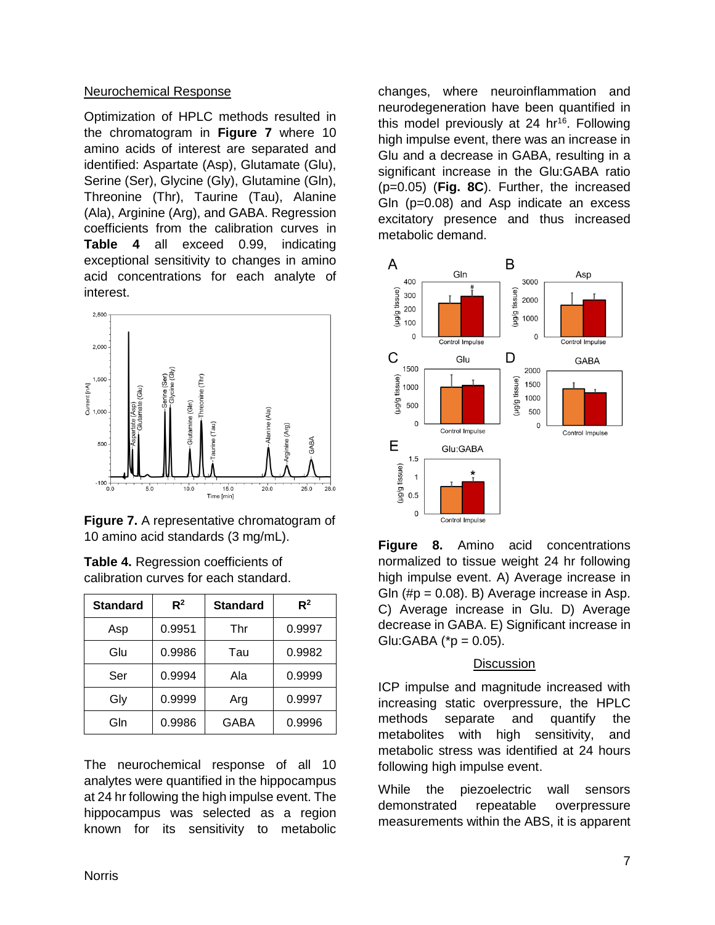### Neurochemical Response

Optimization of HPLC methods resulted in the chromatogram in **Figure 7** where 10 amino acids of interest are separated and identified: Aspartate (Asp), Glutamate (Glu), Serine (Ser), Glycine (Gly), Glutamine (Gln), Threonine (Thr), Taurine (Tau), Alanine (Ala), Arginine (Arg), and GABA. Regression coefficients from the calibration curves in **Table 4** all exceed 0.99, indicating exceptional sensitivity to changes in amino acid concentrations for each analyte of interest.



**Figure 7.** A representative chromatogram of 10 amino acid standards (3 mg/mL).

| <b>Standard</b> | $R^2$  | <b>Standard</b> | $R^2$  |
|-----------------|--------|-----------------|--------|
| Asp             | 0.9951 | Thr             | 0.9997 |
| Glu             | 0.9986 | Tau             | 0.9982 |
| Ser             | 0.9994 | Ala             | 0.9999 |
| Gly             | 0.9999 | Arg             | 0.9997 |
| Gln             | 0.9986 | GABA            | 0.9996 |

**Table 4.** Regression coefficients of calibration curves for each standard.

The neurochemical response of all 10 analytes were quantified in the hippocampus at 24 hr following the high impulse event. The hippocampus was selected as a region known for its sensitivity to metabolic

changes, where neuroinflammation and neurodegeneration have been quantified in this model previously at 24 hr<sup>16</sup>. Following high impulse event, there was an increase in Glu and a decrease in GABA, resulting in a significant increase in the Glu:GABA ratio (p=0.05) (**Fig. 8C**). Further, the increased Gln (p=0.08) and Asp indicate an excess excitatory presence and thus increased metabolic demand.



**Figure 8.** Amino acid concentrations normalized to tissue weight 24 hr following high impulse event. A) Average increase in Gln  $(\#p = 0.08)$ . B) Average increase in Asp. C) Average increase in Glu. D) Average decrease in GABA. E) Significant increase in  $Glu:GABA$  (\*p = 0.05).

#### **Discussion**

ICP impulse and magnitude increased with increasing static overpressure, the HPLC methods separate and quantify the metabolites with high sensitivity, and metabolic stress was identified at 24 hours following high impulse event.

While the piezoelectric wall sensors demonstrated repeatable overpressure measurements within the ABS, it is apparent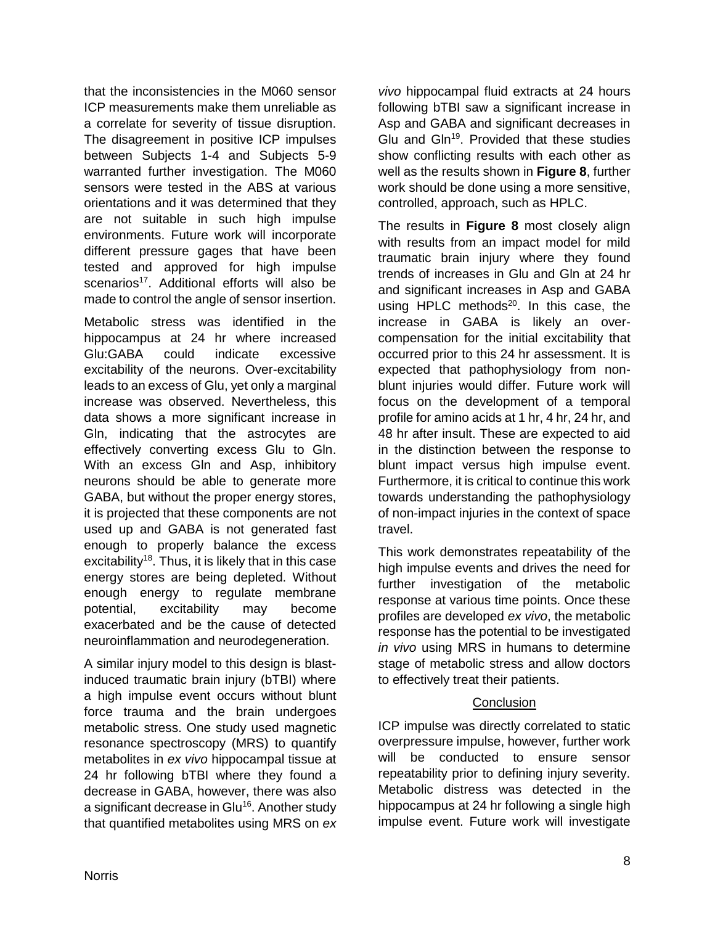that the inconsistencies in the M060 sensor ICP measurements make them unreliable as a correlate for severity of tissue disruption. The disagreement in positive ICP impulses between Subjects 1-4 and Subjects 5-9 warranted further investigation. The M060 sensors were tested in the ABS at various orientations and it was determined that they are not suitable in such high impulse environments. Future work will incorporate different pressure gages that have been tested and approved for high impulse scenarios<sup>17</sup>. Additional efforts will also be made to control the angle of sensor insertion.

Metabolic stress was identified in the hippocampus at 24 hr where increased Glu:GABA could indicate excessive excitability of the neurons. Over-excitability leads to an excess of Glu, yet only a marginal increase was observed. Nevertheless, this data shows a more significant increase in Gln, indicating that the astrocytes are effectively converting excess Glu to Gln. With an excess Gln and Asp, inhibitory neurons should be able to generate more GABA, but without the proper energy stores, it is projected that these components are not used up and GABA is not generated fast enough to properly balance the excess excitability<sup>18</sup>. Thus, it is likely that in this case energy stores are being depleted. Without enough energy to regulate membrane potential, excitability may become exacerbated and be the cause of detected neuroinflammation and neurodegeneration.

A similar injury model to this design is blastinduced traumatic brain injury (bTBI) where a high impulse event occurs without blunt force trauma and the brain undergoes metabolic stress. One study used magnetic resonance spectroscopy (MRS) to quantify metabolites in *ex vivo* hippocampal tissue at 24 hr following bTBI where they found a decrease in GABA, however, there was also a significant decrease in Glu<sup>16</sup>. Another study that quantified metabolites using MRS on *ex*  *vivo* hippocampal fluid extracts at 24 hours following bTBI saw a significant increase in Asp and GABA and significant decreases in Glu and  $G\ln^{19}$ . Provided that these studies show conflicting results with each other as well as the results shown in **Figure 8**, further work should be done using a more sensitive, controlled, approach, such as HPLC.

The results in **Figure 8** most closely align with results from an impact model for mild traumatic brain injury where they found trends of increases in Glu and Gln at 24 hr and significant increases in Asp and GABA using HPLC methods $^{20}$ . In this case, the increase in GABA is likely an overcompensation for the initial excitability that occurred prior to this 24 hr assessment. It is expected that pathophysiology from nonblunt injuries would differ. Future work will focus on the development of a temporal profile for amino acids at 1 hr, 4 hr, 24 hr, and 48 hr after insult. These are expected to aid in the distinction between the response to blunt impact versus high impulse event. Furthermore, it is critical to continue this work towards understanding the pathophysiology of non-impact injuries in the context of space travel.

This work demonstrates repeatability of the high impulse events and drives the need for further investigation of the metabolic response at various time points. Once these profiles are developed *ex vivo*, the metabolic response has the potential to be investigated *in vivo* using MRS in humans to determine stage of metabolic stress and allow doctors to effectively treat their patients.

# **Conclusion**

ICP impulse was directly correlated to static overpressure impulse, however, further work will be conducted to ensure sensor repeatability prior to defining injury severity. Metabolic distress was detected in the hippocampus at 24 hr following a single high impulse event. Future work will investigate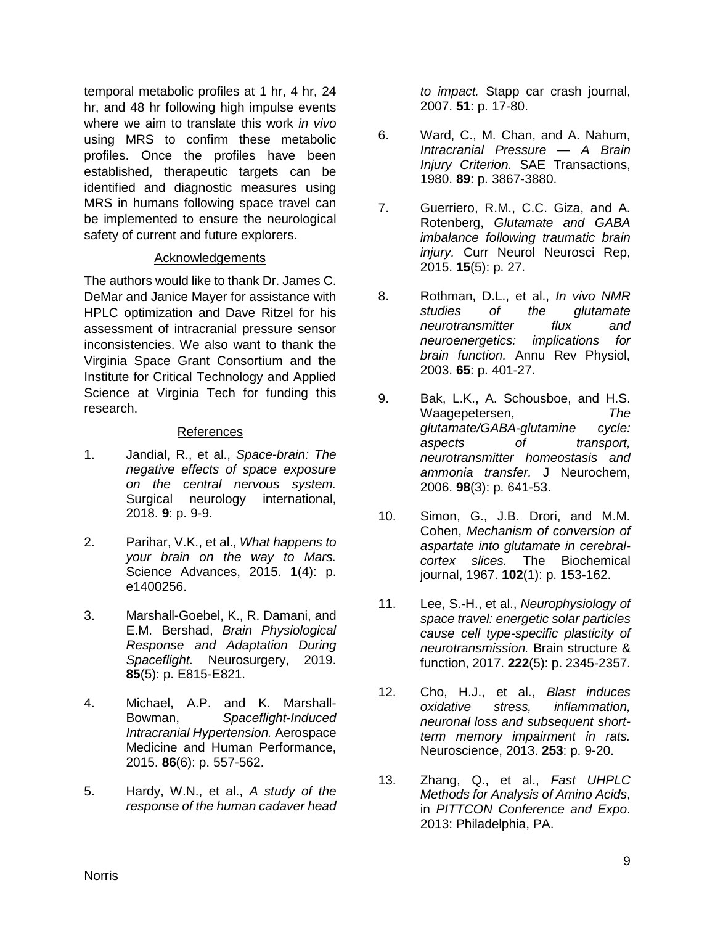temporal metabolic profiles at 1 hr, 4 hr, 24 hr, and 48 hr following high impulse events where we aim to translate this work *in vivo*  using MRS to confirm these metabolic profiles. Once the profiles have been established, therapeutic targets can be identified and diagnostic measures using MRS in humans following space travel can be implemented to ensure the neurological safety of current and future explorers.

#### **Acknowledgements**

The authors would like to thank Dr. James C. DeMar and Janice Mayer for assistance with HPLC optimization and Dave Ritzel for his assessment of intracranial pressure sensor inconsistencies. We also want to thank the Virginia Space Grant Consortium and the Institute for Critical Technology and Applied Science at Virginia Tech for funding this research.

### References

- 1. Jandial, R., et al., *Space-brain: The negative effects of space exposure on the central nervous system.* Surgical neurology international, 2018. **9**: p. 9-9.
- 2. Parihar, V.K., et al., *What happens to your brain on the way to Mars.* Science Advances, 2015. **1**(4): p. e1400256.
- 3. Marshall-Goebel, K., R. Damani, and E.M. Bershad, *Brain Physiological Response and Adaptation During Spaceflight.* Neurosurgery, 2019. **85**(5): p. E815-E821.
- 4. Michael, A.P. and K. Marshall-Bowman, *Spaceflight-Induced Intracranial Hypertension.* Aerospace Medicine and Human Performance, 2015. **86**(6): p. 557-562.
- 5. Hardy, W.N., et al., *A study of the response of the human cadaver head*

*to impact.* Stapp car crash journal, 2007. **51**: p. 17-80.

- 6. Ward, C., M. Chan, and A. Nahum, *Intracranial Pressure — A Brain Injury Criterion.* SAE Transactions, 1980. **89**: p. 3867-3880.
- 7. Guerriero, R.M., C.C. Giza, and A. Rotenberg, *Glutamate and GABA imbalance following traumatic brain injury.* Curr Neurol Neurosci Rep, 2015. **15**(5): p. 27.
- 8. Rothman, D.L., et al., *In vivo NMR studies of the glutamate neurotransmitter flux and neuroenergetics: implications for brain function.* Annu Rev Physiol, 2003. **65**: p. 401-27.
- 9. Bak, L.K., A. Schousboe, and H.S. Waagepetersen, *The glutamate/GABA-glutamine cycle: aspects of transport, neurotransmitter homeostasis and ammonia transfer.* J Neurochem, 2006. **98**(3): p. 641-53.
- 10. Simon, G., J.B. Drori, and M.M. Cohen, *Mechanism of conversion of aspartate into glutamate in cerebralcortex slices.* The Biochemical journal, 1967. **102**(1): p. 153-162.
- 11. Lee, S.-H., et al., *Neurophysiology of space travel: energetic solar particles cause cell type-specific plasticity of neurotransmission.* Brain structure & function, 2017. **222**(5): p. 2345-2357.
- 12. Cho, H.J., et al., *Blast induces oxidative stress, inflammation, neuronal loss and subsequent shortterm memory impairment in rats.* Neuroscience, 2013. **253**: p. 9-20.
- 13. Zhang, Q., et al., *Fast UHPLC Methods for Analysis of Amino Acids*, in *PITTCON Conference and Expo*. 2013: Philadelphia, PA.